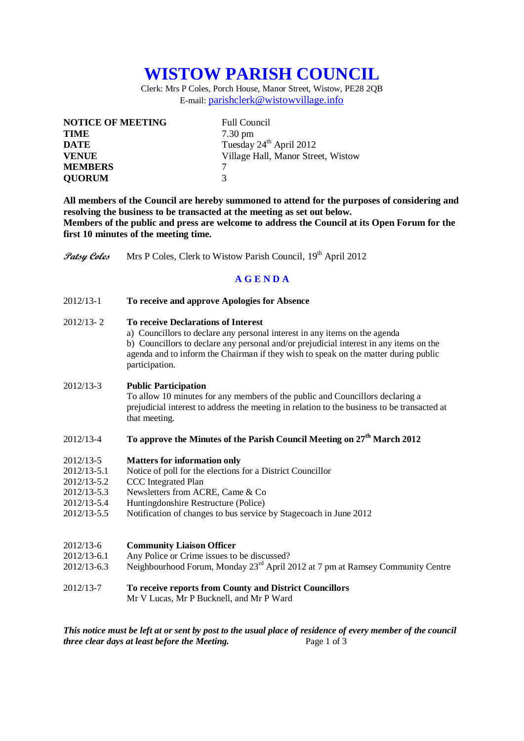# **WISTOW PARISH COUNCIL**

Clerk: Mrs P Coles, Porch House, Manor Street, Wistow, PE28 2QB E-mail: [parishclerk@wistowvillage.info](mailto:parishclerk@wistowvillage.info)

| <b>NOTICE OF MEETING</b> | <b>Full Council</b>                 |
|--------------------------|-------------------------------------|
| <b>TIME</b>              | $7.30 \text{ pm}$                   |
| <b>DATE</b>              | Tuesday 24 <sup>th</sup> April 2012 |
| <b>VENUE</b>             | Village Hall, Manor Street, Wistow  |
| <b>MEMBERS</b>           |                                     |
| <b>QUORUM</b>            | $\mathbf 3$                         |

**All members of the Council are hereby summoned to attend for the purposes of considering and resolving the business to be transacted at the meeting as set out below. Members of the public and press are welcome to address the Council at its Open Forum for the first 10 minutes of the meeting time.**

**Patsy Coles** Mrs P Coles, Clerk to Wistow Parish Council, 19<sup>th</sup> April 2012

## **A G E N D A**

2012/13-1 **To receive and approve Apologies for Absence**

### 2012/13- 2 **To receive Declarations of Interest**

a) Councillors to declare any personal interest in any items on the agenda b) Councillors to declare any personal and/or prejudicial interest in any items on the agenda and to inform the Chairman if they wish to speak on the matter during public participation.

#### 2012/13-3 **Public Participation**

To allow 10 minutes for any members of the public and Councillors declaring a prejudicial interest to address the meeting in relation to the business to be transacted at that meeting.

## 2012/13-4 **To approve the Minutes of the Parish Council Meeting on 27th March 2012**

#### 2012/13-5 **Matters for information only**

- 2012/13-5.1 Notice of poll for the elections for a District Councillor
- 2012/13-5.2 CCC Integrated Plan
- 2012/13-5.3 Newsletters from ACRE, Came & Co
- 2012/13-5.4 Huntingdonshire Restructure (Police)
- 2012/13-5.5 Notification of changes to bus service by Stagecoach in June 2012

#### 2012/13-6 **Community Liaison Officer**

- 2012/13-6.1 Any Police or Crime issues to be discussed?
- 2012/13-6.3 Neighbourhood Forum, Monday 23rd April 2012 at 7 pm at Ramsey Community Centre
- 2012/13-7 **To receive reports from County and District Councillors**
	- Mr V Lucas, Mr P Bucknell, and Mr P Ward

*This notice must be left at or sent by post to the usual place of residence of every member of the council three clear days at least before the Meeting.* Page 1 of 3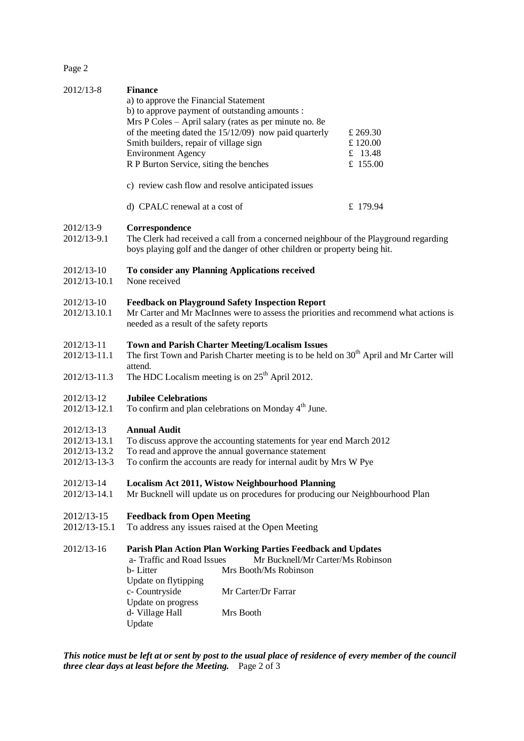Page 2

| 2012/13-8                                                  | <b>Finance</b><br>a) to approve the Financial Statement<br>b) to approve payment of outstanding amounts :<br>Smith builders, repair of village sign<br><b>Environment Agency</b><br>R P Burton Service, siting the benches<br>c) review cash flow and resolve anticipated issues | Mrs P Coles - April salary (rates as per minute no. 8e<br>of the meeting dated the 15/12/09) now paid quarterly                                                       | £ 269.30<br>£120.00<br>£ 13.48<br>£ 155.00 |
|------------------------------------------------------------|----------------------------------------------------------------------------------------------------------------------------------------------------------------------------------------------------------------------------------------------------------------------------------|-----------------------------------------------------------------------------------------------------------------------------------------------------------------------|--------------------------------------------|
|                                                            | d) CPALC renewal at a cost of                                                                                                                                                                                                                                                    |                                                                                                                                                                       | £ 179.94                                   |
| 2012/13-9<br>2012/13-9.1                                   | Correspondence<br>The Clerk had received a call from a concerned neighbour of the Playground regarding<br>boys playing golf and the danger of other children or property being hit.                                                                                              |                                                                                                                                                                       |                                            |
| 2012/13-10<br>2012/13-10.1                                 | To consider any Planning Applications received<br>None received                                                                                                                                                                                                                  |                                                                                                                                                                       |                                            |
| 2012/13-10<br>2012/13.10.1                                 | needed as a result of the safety reports                                                                                                                                                                                                                                         | <b>Feedback on Playground Safety Inspection Report</b><br>Mr Carter and Mr MacInnes were to assess the priorities and recommend what actions is                       |                                            |
| 2012/13-11<br>2012/13-11.1<br>2012/13-11.3                 | <b>Town and Parish Charter Meeting/Localism Issues</b><br>The first Town and Parish Charter meeting is to be held on 30 <sup>th</sup> April and Mr Carter will<br>attend.<br>The HDC Localism meeting is on $25th$ April 2012.                                                   |                                                                                                                                                                       |                                            |
| 2012/13-12<br>2012/13-12.1                                 | <b>Jubilee Celebrations</b>                                                                                                                                                                                                                                                      | To confirm and plan celebrations on Monday 4 <sup>th</sup> June.                                                                                                      |                                            |
| 2012/13-13<br>2012/13-13.1<br>2012/13-13.2<br>2012/13-13-3 | <b>Annual Audit</b><br>To discuss approve the accounting statements for year end March 2012<br>To read and approve the annual governance statement<br>To confirm the accounts are ready for internal audit by Mrs W Pye                                                          |                                                                                                                                                                       |                                            |
| 2012/13-14<br>2012/13-14.1                                 |                                                                                                                                                                                                                                                                                  | <b>Localism Act 2011, Wistow Neighbourhood Planning</b><br>Mr Bucknell will update us on procedures for producing our Neighbourhood Plan                              |                                            |
| 2012/13-15<br>2012/13-15.1                                 | <b>Feedback from Open Meeting</b><br>To address any issues raised at the Open Meeting                                                                                                                                                                                            |                                                                                                                                                                       |                                            |
| 2012/13-16                                                 | a-Traffic and Road Issues<br>b-Litter<br>Update on flytipping<br>c- Countryside<br>Update on progress<br>d- Village Hall<br>Update                                                                                                                                               | <b>Parish Plan Action Plan Working Parties Feedback and Updates</b><br>Mr Bucknell/Mr Carter/Ms Robinson<br>Mrs Booth/Ms Robinson<br>Mr Carter/Dr Farrar<br>Mrs Booth |                                            |

*This notice must be left at or sent by post to the usual place of residence of every member of the council three clear days at least before the Meeting.* Page 2 of 3